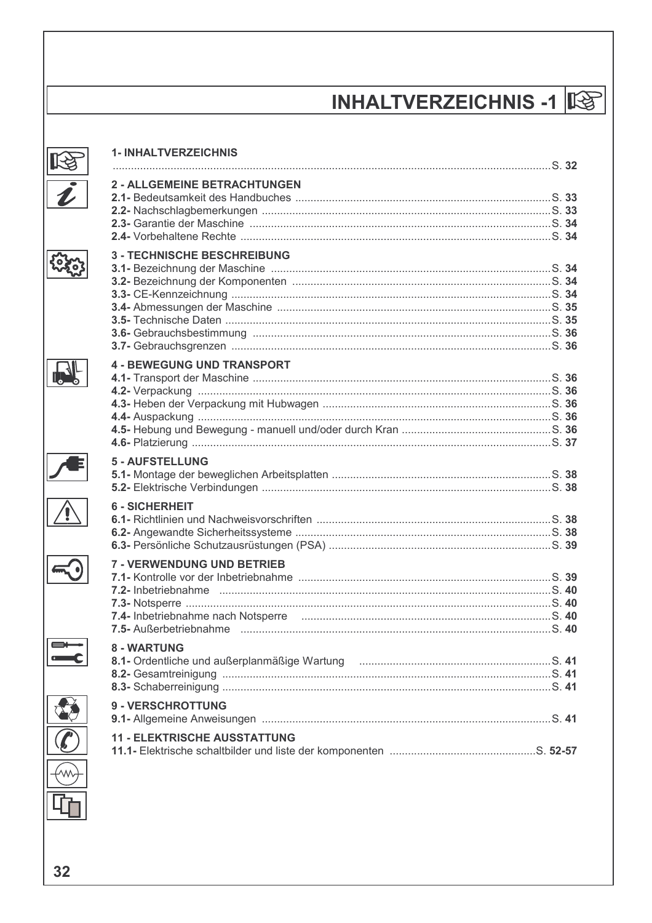# **INHALTVERZEICHNIS -1 1**

| <b>1- INHALTVERZEICHNIS</b>                                                                                       |  |
|-------------------------------------------------------------------------------------------------------------------|--|
| <b>2 - ALLGEMEINE BETRACHTUNGEN</b>                                                                               |  |
| <b>3 - TECHNISCHE BESCHREIBUNG</b>                                                                                |  |
| <b>4 - BEWEGUNG UND TRANSPORT</b><br><b>5 - AUFSTELLUNG</b>                                                       |  |
| <b>6 - SICHERHEIT</b>                                                                                             |  |
| <b>7 - VERWENDUNG UND BETRIEB</b><br>7.4- Inbetriebnahme nach Notsperre mummum must manufacture manufacture S. 40 |  |
| 8 - WARTUNG<br><b>9 - VERSCHROTTUNG</b>                                                                           |  |
| <b>11 - ELEKTRISCHE AUSSTATTUNG</b>                                                                               |  |





 $\mathbf{R}$ 

Æ

 $\sqrt{\Omega}$ 

 $\overline{\bigodot}$ 

 $\equiv$ 

 $\rightsquigarrow$ 

32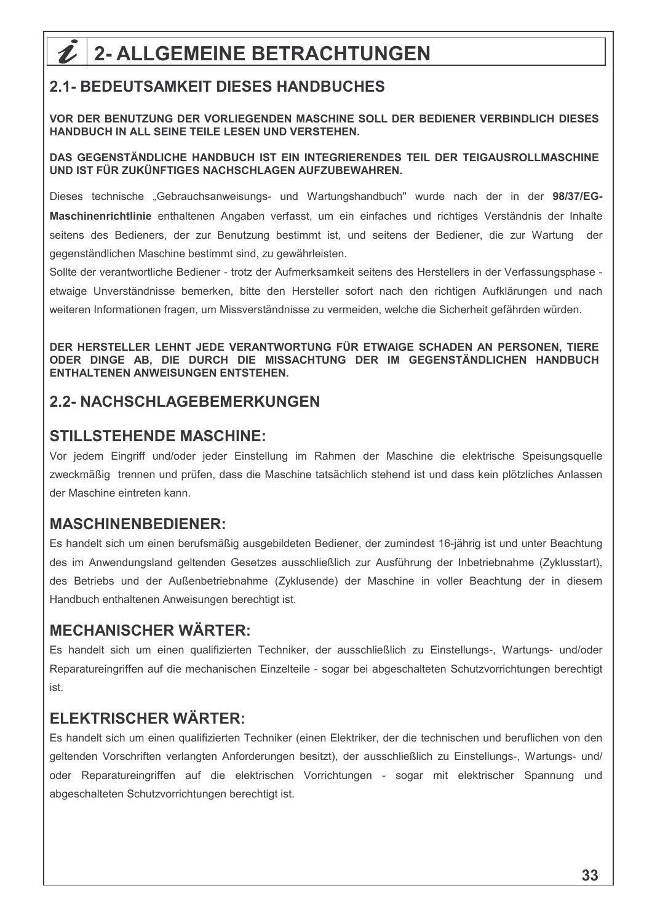# $\mathcal{L}$  | 2- ALLGEMEINE BETRACHTUNGEN

## **2.1- BEDEUTSAMKEIT DIESES HANDBUCHES**

VOR DER BENUTZUNG DER VORLIEGENDEN MASCHINE SOLL DER BEDIENER VERBINDLICH DIESES HANDBUCH IN ALL SEINE TEILE LESEN UND VERSTEHEN.

#### DAS GEGENSTÄNDLICHE HANDBUCH IST EIN INTEGRIERENDES TEIL DER TEIGAUSROLLMASCHINE UND IST FÜR ZUKÜNFTIGES NACHSCHLAGEN AUFZUBEWAHREN.

Dieses technische "Gebrauchsanweisungs- und Wartungshandbuch" wurde nach der in der 98/37/EG-Maschinenrichtlinie enthaltenen Angaben verfasst, um ein einfaches und richtiges Verständnis der Inhalte seitens des Bedieners, der zur Benutzung bestimmt ist, und seitens der Bediener, die zur Wartung der gegenständlichen Maschine bestimmt sind, zu gewährleisten.

Sollte der verantwortliche Bediener - trotz der Aufmerksamkeit seitens des Herstellers in der Verfassungsphase etwaige Unverständnisse bemerken, bitte den Hersteller sofort nach den richtigen Aufklärungen und nach weiteren Informationen fragen, um Missverständnisse zu vermeiden, welche die Sicherheit gefährden würden,

DER HERSTELLER LEHNT JEDE VERANTWORTUNG FÜR ETWAIGE SCHADEN AN PERSONEN. TIERE ODER DINGE AB. DIE DURCH DIE MISSACHTUNG DER IM GEGENSTÄNDLICHEN HANDBUCH **ENTHALTENEN ANWEISUNGEN ENTSTEHEN.** 

#### **2.2- NACHSCHLAGEBEMERKUNGEN**

#### **STILLSTEHENDE MASCHINE:**

Vor jedem Eingriff und/oder jeder Einstellung im Rahmen der Maschine die elektrische Speisungsquelle zweckmäßig trennen und prüfen, dass die Maschine tatsächlich stehend ist und dass kein plötzliches Anlassen der Maschine eintreten kann.

#### **MASCHINENBEDIENER:**

Es handelt sich um einen berufsmäßig ausgebildeten Bediener, der zumindest 16-jährig ist und unter Beachtung des im Anwendungsland geltenden Gesetzes ausschließlich zur Ausführung der Inbetriebnahme (Zyklusstart), des Betriebs und der Außenbetriebnahme (Zyklusende) der Maschine in voller Beachtung der in diesem Handbuch enthaltenen Anweisungen berechtigt ist.

#### **MECHANISCHER WÄRTER:**

Es handelt sich um einen qualifizierten Techniker, der ausschließlich zu Einstellungs-, Wartungs- und/oder Reparatureingriffen auf die mechanischen Einzelteile - sogar bei abgeschalteten Schutzvorrichtungen berechtigt ist.

#### **ELEKTRISCHER WÄRTER:**

Es handelt sich um einen qualifizierten Techniker (einen Elektriker, der die technischen und beruflichen von den geltenden Vorschriften verlangten Anforderungen besitzt), der ausschließlich zu Einstellungs-, Wartungs- und/ oder Reparatureingriffen auf die elektrischen Vorrichtungen - sogar mit elektrischer Spannung und abgeschalteten Schutzvorrichtungen berechtigt ist.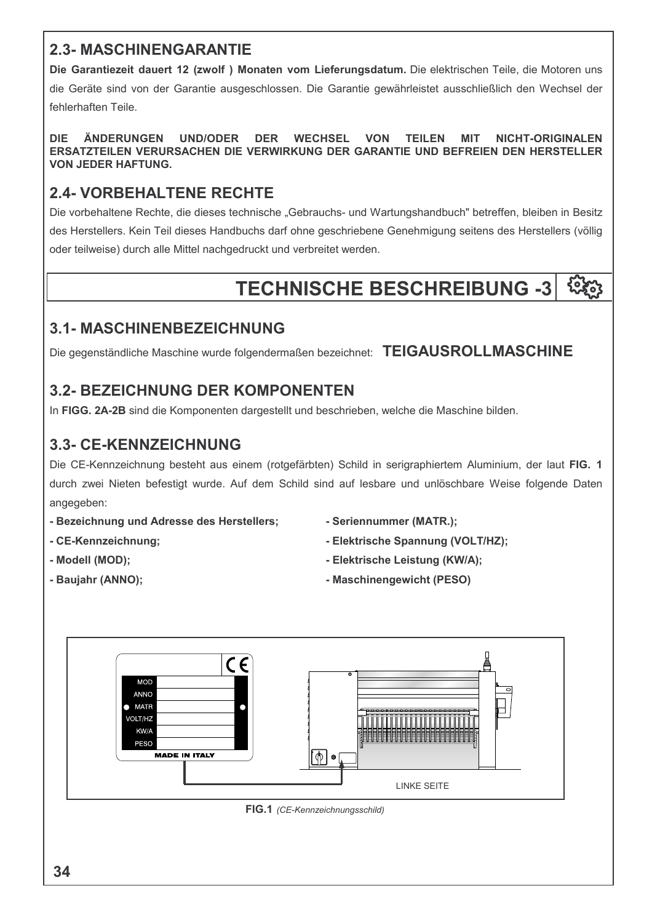### **2.3- MASCHINENGARANTIE**

Die Garantiezeit dauert 12 (zwolf) Monaten vom Lieferungsdatum. Die elektrischen Teile, die Motoren uns die Geräte sind von der Garantie ausgeschlossen. Die Garantie gewährleistet ausschließlich den Wechsel der fehlerhaften Teile.

ÄNDERUNGEN **DIE UND/ODER DER WECHSEL VON TEILEN NICHT-ORIGINALEN MIT** ERSATZTEILEN VERURSACHEN DIE VERWIRKUNG DER GARANTIE UND BEFREIEN DEN HERSTELLER **VON JEDER HAFTUNG.** 

## **2.4- VORBEHALTENE RECHTE**

Die vorbehaltene Rechte, die dieses technische "Gebrauchs- und Wartungshandbuch" betreffen, bleiben in Besitz des Herstellers. Kein Teil dieses Handbuchs darf ohne geschriebene Genehmigung seitens des Herstellers (völlig oder teilweise) durch alle Mittel nachgedruckt und verbreitet werden.

#### **TECHNISCHE BESCHREIBUNG -3** १०५०

## **3.1- MASCHINENBEZEICHNUNG**

Die gegenständliche Maschine wurde folgendermaßen bezeichnet: TEIGAUSROLLMASCHINE

## **3.2- BEZEICHNUNG DER KOMPONENTEN**

In FIGG. 2A-2B sind die Komponenten dargestellt und beschrieben, welche die Maschine bilden.

## **3.3- CE-KENNZEICHNUNG**

Die CE-Kennzeichnung besteht aus einem (rotgefärbten) Schild in serigraphiertem Aluminium, der laut FIG. 1 durch zwei Nieten befestigt wurde. Auf dem Schild sind auf lesbare und unlöschbare Weise folgende Daten angegeben:

- Bezeichnung und Adresse des Herstellers;
- CE-Kennzeichnung;
- Modell (MOD):
- Baujahr (ANNO);
- Seriennummer (MATR.);
- Elektrische Spannung (VOLT/HZ);
- Elektrische Leistung (KW/A):
- Maschinengewicht (PESO)

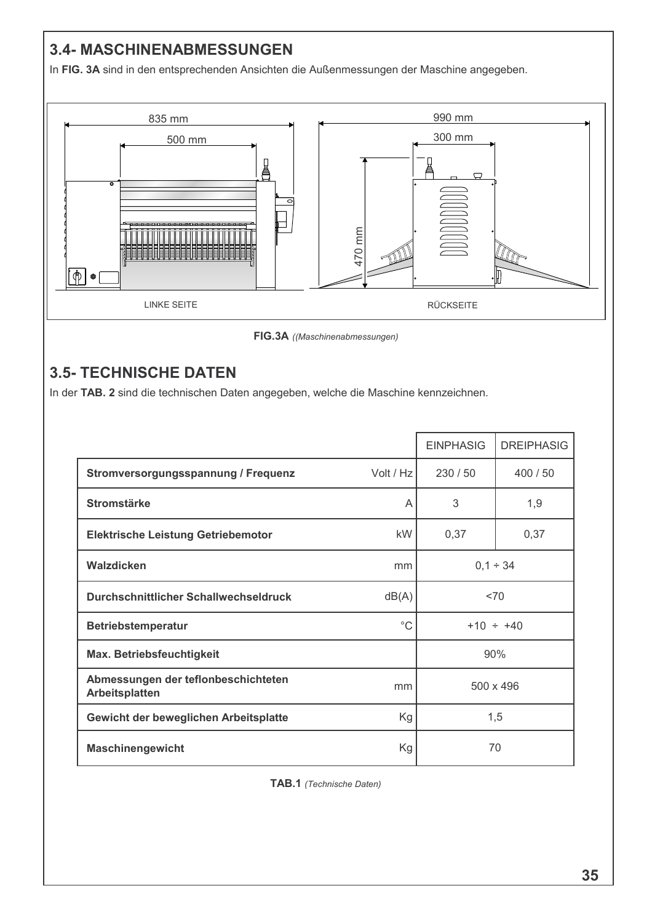## 3.4- MASCHINENABMESSUNGEN

In FIG. 3A sind in den entsprechenden Ansichten die Außenmessungen der Maschine angegeben.



FIG.3A ((Maschinenabmessungen)

## **3.5- TECHNISCHE DATEN**

In der TAB. 2 sind die technischen Daten angegeben, welche die Maschine kennzeichnen.

|                                                       |             | <b>EINPHASIG</b> | <b>DREIPHASIG</b> |  |  |  |
|-------------------------------------------------------|-------------|------------------|-------------------|--|--|--|
| Stromversorgungsspannung / Frequenz                   | Volt / Hz   | 230/50           | 400 / 50          |  |  |  |
| <b>Stromstärke</b>                                    | A           | 3                | 1,9               |  |  |  |
| <b>Elektrische Leistung Getriebemotor</b>             | kW          | 0,37             | 0,37              |  |  |  |
| Walzdicken                                            | mm          | $0,1 \div 34$    |                   |  |  |  |
| Durchschnittlicher Schallwechseldruck                 | dB(A)       | <70              |                   |  |  |  |
| <b>Betriebstemperatur</b>                             | $^{\circ}C$ | $+10 \div +40$   |                   |  |  |  |
| Max. Betriebsfeuchtigkeit                             |             | 90%              |                   |  |  |  |
| Abmessungen der teflonbeschichteten<br>Arbeitsplatten | mm          | 500 x 496        |                   |  |  |  |
| Gewicht der beweglichen Arbeitsplatte                 | Kg          | 1,5              |                   |  |  |  |
| <b>Maschinengewicht</b>                               | Kg          |                  | 70                |  |  |  |

TAB.1 (Technische Daten)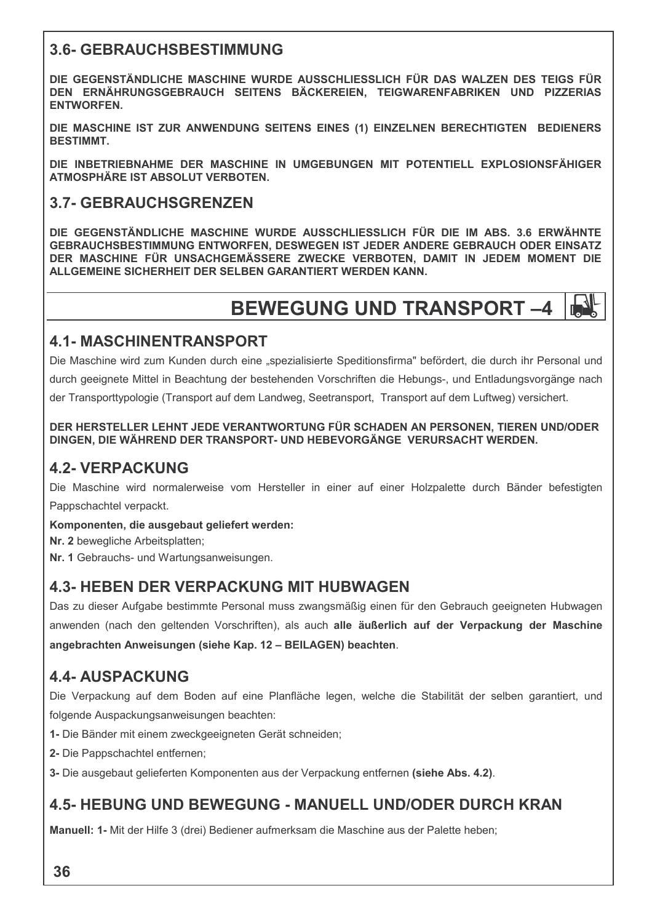#### **3.6- GEBRAUCHSBESTIMMUNG**

DIE GEGENSTÄNDLICHE MASCHINE WURDE AUSSCHLIESSLICH FÜR DAS WALZEN DES TEIGS FÜR DEN ERNÄHRUNGSGEBRAUCH SEITENS BÄCKEREIEN. TEIGWARENFABRIKEN UND PIZZERIAS **ENTWORFEN.** 

DIE MASCHINE IST ZUR ANWENDUNG SEITENS EINES (1) EINZELNEN BERECHTIGTEN BEDIENERS **BESTIMMT.** 

DIE INBETRIEBNAHME DER MASCHINE IN UMGEBUNGEN MIT POTENTIELL EXPLOSIONSFÄHIGER ATMOSPHÄRE IST ABSOLUT VERBOTEN.

#### **3.7- GEBRAUCHSGRENZEN**

DIE GEGENSTÄNDLICHE MASCHINE WURDE AUSSCHLIESSLICH FÜR DIE IM ABS. 3.6 ERWÄHNTE GEBRAUCHSBESTIMMUNG ENTWORFEN, DESWEGEN IST JEDER ANDERE GEBRAUCH ODER EINSATZ DER MASCHINE FÜR UNSACHGEMÄSSERE ZWECKE VERBOTEN. DAMIT IN JEDEM MOMENT DIE ALLGEMEINE SICHERHEIT DER SELBEN GARANTIERT WERDEN KANN.

## **BEWEGUNG UND TRANSPORT-4**

#### **4.1- MASCHINENTRANSPORT**

Die Maschine wird zum Kunden durch eine "spezialisierte Speditionsfirma" befördert, die durch ihr Personal und durch geeignete Mittel in Beachtung der bestehenden Vorschriften die Hebungs-, und Entladungsvorgänge nach der Transporttypologie (Transport auf dem Landweg, Seetransport, Transport auf dem Luftweg) versichert.

#### DER HERSTELLER LEHNT JEDE VERANTWORTUNG FÜR SCHADEN AN PERSONEN. TIEREN UND/ODER DINGEN. DIE WÄHREND DER TRANSPORT- UND HEBEVORGÄNGE VERURSACHT WERDEN.

## **4.2- VERPACKUNG**

Die Maschine wird normalerweise vom Hersteller in einer auf einer Holzpalette durch Bänder befestigten Pappschachtel verpackt.

Komponenten, die ausgebaut geliefert werden:

Nr. 2 bewegliche Arbeitsplatten:

Nr. 1 Gebrauchs- und Wartungsanweisungen.

#### **4.3- HEBEN DER VERPACKUNG MIT HUBWAGEN**

Das zu dieser Aufgabe bestimmte Personal muss zwangsmäßig einen für den Gebrauch geeigneten Hubwagen anwenden (nach den geltenden Vorschriften), als auch alle äußerlich auf der Verpackung der Maschine angebrachten Anweisungen (siehe Kap. 12 - BEILAGEN) beachten.

#### **4.4- AUSPACKUNG**

Die Verpackung auf dem Boden auf eine Planfläche legen, welche die Stabilität der selben garantiert, und folgende Auspackungsanweisungen beachten:

- 1- Die Bänder mit einem zweckgeeigneten Gerät schneiden;
- 2- Die Pappschachtel entfernen;
- 3- Die ausgebaut gelieferten Komponenten aus der Verpackung entfernen (siehe Abs. 4.2).

#### **4.5- HEBUNG UND BEWEGUNG - MANUELL UND/ODER DURCH KRAN**

Manuell: 1- Mit der Hilfe 3 (drei) Bediener aufmerksam die Maschine aus der Palette heben;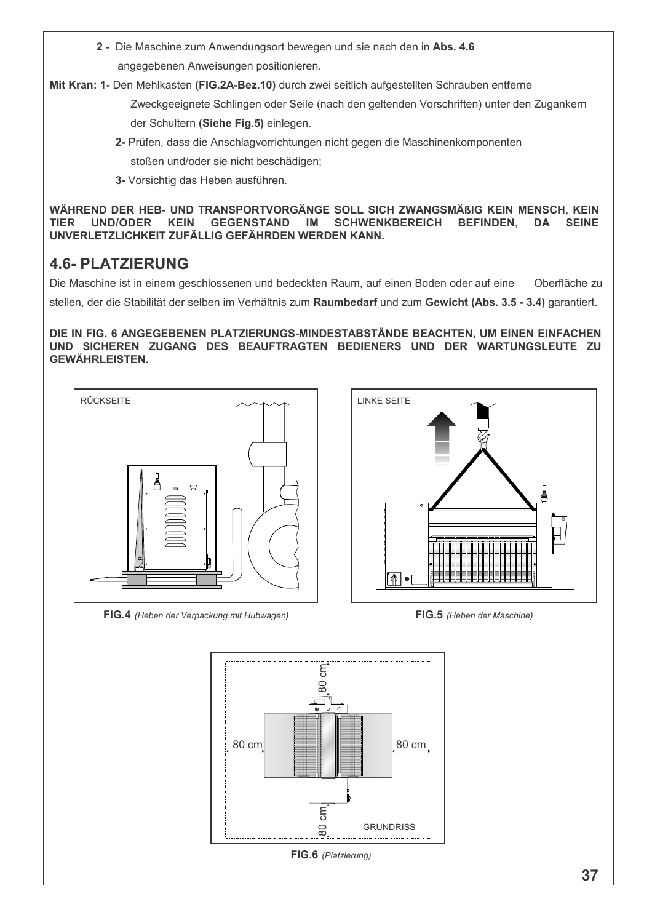2 - Die Maschine zum Anwendungsort bewegen und sie nach den in Abs. 4.6 angegebenen Anweisungen positionieren.

Mit Kran: 1- Den Mehlkasten (FIG.2A-Bez.10) durch zwei seitlich aufgestellten Schrauben entferne

Zweckgeeignete Schlingen oder Seile (nach den geltenden Vorschriften) unter den Zugankern der Schultern (Siehe Fig.5) einlegen.

- 2- Prüfen, dass die Anschlagvorrichtungen nicht gegen die Maschinenkomponenten stoßen und/oder sie nicht beschädigen;
- 3- Vorsichtig das Heben ausführen.

WÄHREND DER HEB- UND TRANSPORTVORGÄNGE SOLL SICH ZWANGSMÄßIG KEIN MENSCH, KEIN **TIER UND/ODER KEIN GEGENSTAND** IM **SCHWENKBEREICH BEFINDEN, DA SEINE** UNVERLETZLICHKEIT ZUFÄLLIG GEFÄHRDEN WERDEN KANN.

## **4.6- PLATZIERUNG**

Die Maschine ist in einem geschlossenen und bedeckten Raum, auf einen Boden oder auf eine Oberfläche zu stellen, der die Stabilität der selben im Verhältnis zum Raumbedarf und zum Gewicht (Abs. 3.5 - 3.4) garantiert.

#### DIE IN FIG. 6 ANGEGEBENEN PLATZIERUNGS-MINDESTABSTÄNDE BEACHTEN, UM EINEN EINFACHEN UND SICHEREN ZUGANG DES BEAUFTRAGTEN BEDIENERS UND DER WARTUNGSLEUTE ZU **GEWÄHRLEISTEN.**



FIG.4 (Heben der Verpackung mit Hubwagen)



FIG.5 (Heben der Maschine)

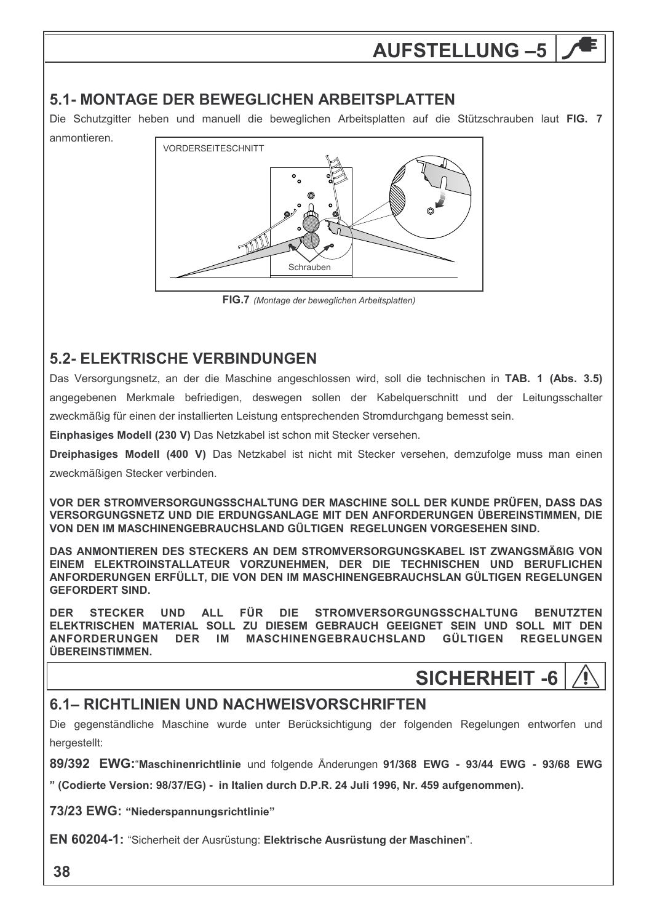# **AUFSTELLUNG -5**

#### 5.1- MONTAGE DER BEWEGLICHEN ARBEITSPLATTEN

Die Schutzgitter heben und manuell die beweglichen Arbeitsplatten auf die Stützschrauben laut FIG. 7 anmontieren.



FIG.7 (Montage der beweglichen Arbeitsplatten)

## **5.2- ELEKTRISCHE VERBINDUNGEN**

Das Versorgungsnetz, an der die Maschine angeschlossen wird, soll die technischen in TAB. 1 (Abs. 3.5) angegebenen Merkmale befriedigen, deswegen sollen der Kabelguerschnitt und der Leitungsschalter zweckmäßig für einen der installierten Leistung entsprechenden Stromdurchgang bemesst sein.

Einphasiges Modell (230 V) Das Netzkabel ist schon mit Stecker versehen.

Dreiphasiges Modell (400 V) Das Netzkabel ist nicht mit Stecker versehen, demzufolge muss man einen zweckmäßigen Stecker verbinden.

VOR DER STROMVERSORGUNGSSCHALTUNG DER MASCHINE SOLL DER KUNDE PRÜFEN, DASS DAS VERSORGUNGSNETZ UND DIE ERDUNGSANLAGE MIT DEN ANFORDERUNGEN ÜBEREINSTIMMEN, DIE VON DEN IM MASCHINENGEBRAUCHSLAND GÜLTIGEN REGELUNGEN VORGESEHEN SIND.

DAS ANMONTIEREN DES STECKERS AN DEM STROMVERSORGUNGSKABEL IST ZWANGSMÄßIG VON EINEM ELEKTROINSTALLATEUR VORZUNEHMEN, DER DIE TECHNISCHEN UND BERUFLICHEN ANFORDERUNGEN ERFÜLLT, DIE VON DEN IM MASCHINENGEBRAUCHSLAN GÜLTIGEN REGELUNGEN **GEFORDERT SIND.** 

STECKER UND ALL FÜR **DIE STROMVERSORGUNGSSCHALTUNG BENUTZTEN DER** ELEKTRISCHEN MATERIAL SOLL ZU DIESEM GEBRAUCH GEEIGNET SEIN UND SOLL MIT DEN ANFORDERUNGEN DER IM MASCHINENGEBRAUCHSLAND GÜLTIGEN REGELUNGEN ÜBEREINSTIMMEN.

# **SICHERHEIT -6**

#### 6.1- RICHTLINIEN UND NACHWEISVORSCHRIFTEN

Die gegenständliche Maschine wurde unter Berücksichtigung der folgenden Regelungen entworfen und hergestellt:

89/392 EWG: "Maschinenrichtlinie und folgende Änderungen 91/368 EWG - 93/44 EWG - 93/68 EWG

" (Codierte Version: 98/37/EG) - in Italien durch D.P.R. 24 Juli 1996, Nr. 459 aufgenommen).

73/23 EWG: "Niederspannungsrichtlinie"

EN 60204-1: "Sicherheit der Ausrüstung: Elektrische Ausrüstung der Maschinen".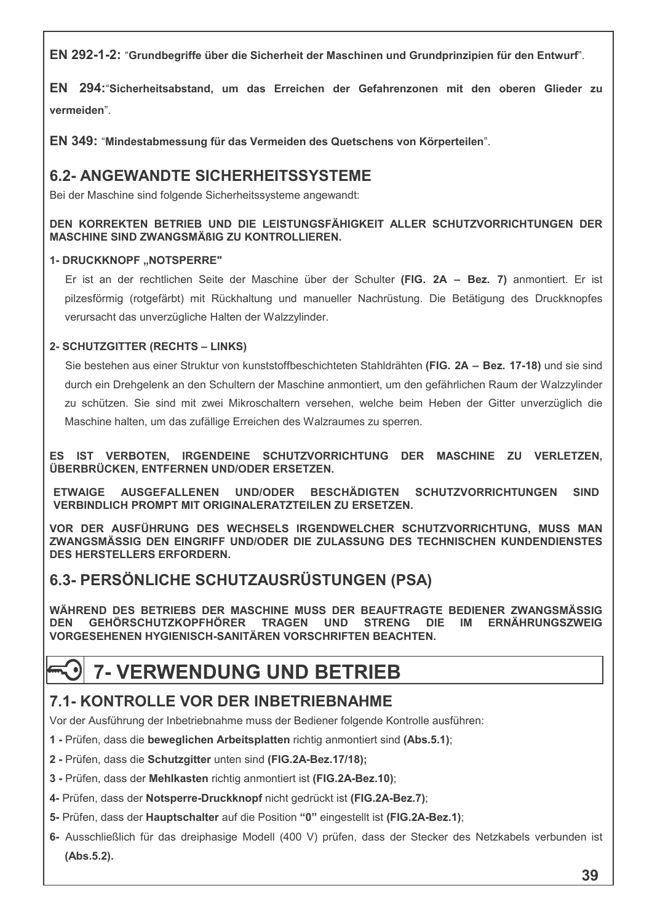EN 292-1-2: "Grundbegriffe über die Sicherheit der Maschinen und Grundprinzipien für den Entwurf".

EN 294: "Sicherheitsabstand, um das Erreichen der Gefahrenzonen mit den oberen Glieder zu vermeiden".

EN 349: "Mindestabmessung für das Vermeiden des Quetschens von Körperteilen".

#### **6.2- ANGEWANDTE SICHERHEITSSYSTEME**

Bei der Maschine sind folgende Sicherheitssysteme angewandt:

#### DEN KORREKTEN BETRIEB UND DIE LEISTUNGSFÄHIGKEIT ALLER SCHUTZVORRICHTUNGEN DER **MASCHINE SIND ZWANGSMÄßIG ZU KONTROLLIEREN.**

#### **1- DRUCKKNOPF "NOTSPERRE"**

Er ist an der rechtlichen Seite der Maschine über der Schulter (FIG. 2A – Bez. 7) anmontiert. Er ist pilzesförmig (rotgefärbt) mit Rückhaltung und manueller Nachrüstung. Die Betätigung des Druckknopfes verursacht das unverzügliche Halten der Walzzylinder.

#### 2- SCHUTZGITTER (RECHTS - LINKS)

Sie bestehen aus einer Struktur von kunststoffbeschichteten Stahldrähten (FIG. 2A - Bez. 17-18) und sie sind durch ein Drehgelenk an den Schultern der Maschine anmontiert, um den gefährlichen Raum der Walzzylinder zu schützen. Sie sind mit zwei Mikroschaltern versehen, welche beim Heben der Gitter unverzüglich die Maschine halten, um das zufällige Erreichen des Walzraumes zu sperren.

ES IST VERBOTEN. IRGENDEINE SCHUTZVORRICHTUNG DER MASCHINE ZU VERLETZEN. ÜBERBRÜCKEN, ENTFERNEN UND/ODER ERSETZEN.

**ETWAIGE AUSGEFALLENEN** UND/ODER **BESCHÄDIGTEN SCHUTZVORRICHTUNGEN SIND** VERBINDLICH PROMPT MIT ORIGINALERATZTEILEN ZU ERSETZEN.

VOR DER AUSFÜHRUNG DES WECHSELS IRGENDWELCHER SCHUTZVORRICHTUNG. MUSS MAN ZWANGSMÄSSIG DEN EINGRIFF UND/ODER DIE ZULASSUNG DES TECHNISCHEN KUNDENDIENSTES **DES HERSTELLERS ERFORDERN.** 

#### 6.3- PERSÖNLICHE SCHUTZAUSRÜSTUNGEN (PSA)

WÄHREND DES BETRIEBS DER MASCHINE MUSS DER BEAUFTRAGTE BEDIENER ZWANGSMÄSSIG **GEHÖRSCHUTZKOPFHÖRER ERNÄHRUNGSZWEIG TRAGEN UND STRENG DEN DIF IM** VORGESEHENEN HYGIENISCH-SANITÄREN VORSCHRIFTEN BEACHTEN.

## **7- VERWENDUNG UND BETRIEB**

#### 7.1- KONTROLLE VOR DER INBETRIEBNAHME

Vor der Ausführung der Inbetriebnahme muss der Bediener folgende Kontrolle ausführen:

- 1 Prüfen, dass die beweglichen Arbeitsplatten richtig anmontiert sind (Abs.5.1);
- 2 Prüfen, dass die Schutzgitter unten sind (FIG.2A-Bez.17/18);
- 3 Prüfen, dass der Mehlkasten richtig anmontiert ist (FIG.2A-Bez.10);
- 4- Prüfen, dass der Notsperre-Druckknopf nicht gedrückt ist (FIG.2A-Bez.7);
- 5- Prüfen, dass der Hauptschalter auf die Position "0" eingestellt ist (FIG.2A-Bez.1);
- 6- Ausschließlich für das dreiphasige Modell (400 V) prüfen, dass der Stecker des Netzkabels verbunden ist (Abs.5.2).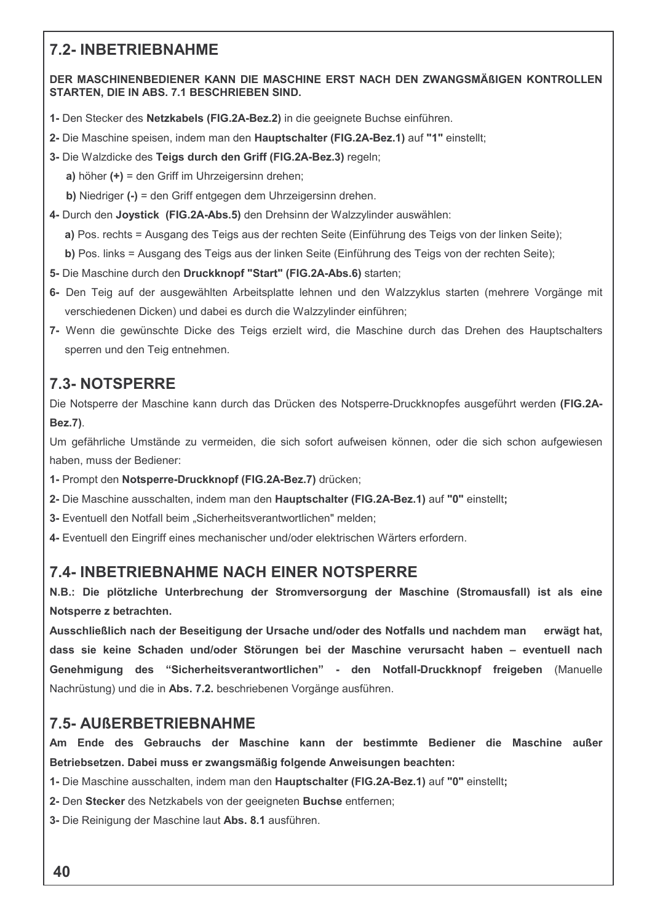#### **7.2- INBETRIEBNAHME**

#### DER MASCHINENBEDIENER KANN DIE MASCHINE ERST NACH DEN ZWANGSMÄßIGEN KONTROLLEN STARTEN. DIE IN ABS. 7.1 BESCHRIEBEN SIND.

- 1- Den Stecker des Netzkabels (FIG.2A-Bez.2) in die geeignete Buchse einführen.
- 2- Die Maschine speisen, indem man den Hauptschalter (FIG.2A-Bez.1) auf "1" einstellt;
- 3- Die Walzdicke des Teigs durch den Griff (FIG.2A-Bez.3) regeln;

a) höher  $(+)$  = den Griff im Uhrzeigersinn drehen;

b) Niedriger (-) = den Griff entgegen dem Uhrzeigersinn drehen.

4- Durch den Joystick (FIG.2A-Abs.5) den Drehsinn der Walzzylinder auswählen:

a) Pos. rechts = Ausgang des Teigs aus der rechten Seite (Einführung des Teigs von der linken Seite);

b) Pos. links = Ausgang des Teigs aus der linken Seite (Einführung des Teigs von der rechten Seite);

- 5- Die Maschine durch den Druckknopf "Start" (FIG.2A-Abs.6) starten;
- 6- Den Teig auf der ausgewählten Arbeitsplatte lehnen und den Walzzyklus starten (mehrere Vorgänge mit verschiedenen Dicken) und dabei es durch die Walzzylinder einführen;
- 7- Wenn die gewünschte Dicke des Teigs erzielt wird, die Maschine durch das Drehen des Hauptschalters sperren und den Teig entnehmen.

#### **7.3- NOTSPERRE**

Die Notsperre der Maschine kann durch das Drücken des Notsperre-Druckknopfes ausgeführt werden (FIG.2A-**Bez.7).** 

Um gefährliche Umstände zu vermeiden, die sich sofort aufweisen können, oder die sich schon aufgewiesen haben, muss der Bediener:

- 1- Prompt den Notsperre-Druckknopf (FIG.2A-Bez.7) drücken;
- 2- Die Maschine ausschalten, indem man den Hauptschalter (FIG.2A-Bez.1) auf "0" einstellt;
- 3- Eventuell den Notfall beim "Sicherheitsverantwortlichen" melden:

4- Eventuell den Eingriff eines mechanischer und/oder elektrischen Wärters erfordern.

#### **7.4- INBETRIEBNAHME NACH EINER NOTSPERRE**

N.B.: Die plötzliche Unterbrechung der Stromversorgung der Maschine (Stromausfall) ist als eine Notsperre z betrachten.

Ausschließlich nach der Beseitigung der Ursache und/oder des Notfalls und nachdem man erwägt hat. dass sie keine Schaden und/oder Störungen bei der Maschine verursacht haben - eventuell nach Genehmigung des "Sicherheitsverantwortlichen" - den Notfall-Druckknopf freigeben (Manuelle Nachrüstung) und die in Abs. 7.2. beschriebenen Vorgänge ausführen.

#### **7.5- AUßERBETRIEBNAHME**

Am Ende des Gebrauchs der Maschine kann der bestimmte Bediener die Maschine außer Betriebsetzen. Dabei muss er zwangsmäßig folgende Anweisungen beachten:

1- Die Maschine ausschalten, indem man den Hauptschalter (FIG.2A-Bez.1) auf "0" einstellt;

- 2- Den Stecker des Netzkabels von der geeigneten Buchse entfernen;
- 3- Die Reinigung der Maschine laut Abs. 8.1 ausführen.